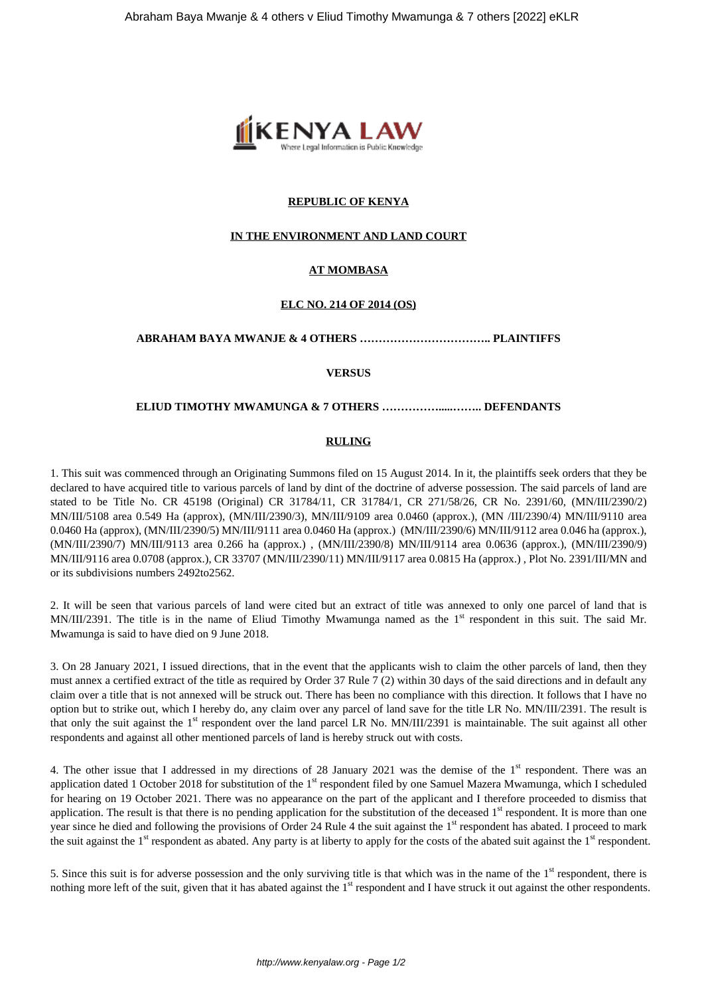

# **REPUBLIC OF KENYA**

# **IN THE ENVIRONMENT AND LAND COURT**

# **AT MOMBASA**

# **ELC NO. 214 OF 2014 (OS)**

# **ABRAHAM BAYA MWANJE & 4 OTHERS …………………………….. PLAINTIFFS**

# **VERSUS**

# **ELIUD TIMOTHY MWAMUNGA & 7 OTHERS …………….....…….. DEFENDANTS**

### **RULING**

1. This suit was commenced through an Originating Summons filed on 15 August 2014. In it, the plaintiffs seek orders that they be declared to have acquired title to various parcels of land by dint of the doctrine of adverse possession. The said parcels of land are stated to be Title No. CR 45198 (Original) CR 31784/11, CR 31784/1, CR 271/58/26, CR No. 2391/60, (MN/III/2390/2) MN/III/5108 area 0.549 Ha (approx), (MN/III/2390/3), MN/III/9109 area 0.0460 (approx.), (MN /III/2390/4) MN/III/9110 area 0.0460 Ha (approx), (MN/III/2390/5) MN/III/9111 area 0.0460 Ha (approx.) (MN/III/2390/6) MN/III/9112 area 0.046 ha (approx.), (MN/III/2390/7) MN/III/9113 area 0.266 ha (approx.) , (MN/III/2390/8) MN/III/9114 area 0.0636 (approx.), (MN/III/2390/9) MN/III/9116 area 0.0708 (approx.), CR 33707 (MN/III/2390/11) MN/III/9117 area 0.0815 Ha (approx.) , Plot No. 2391/III/MN and or its subdivisions numbers 2492to2562.

2. It will be seen that various parcels of land were cited but an extract of title was annexed to only one parcel of land that is MN/III/2391. The title is in the name of Eliud Timothy Mwamunga named as the  $1<sup>st</sup>$  respondent in this suit. The said Mr. Mwamunga is said to have died on 9 June 2018.

3. On 28 January 2021, I issued directions, that in the event that the applicants wish to claim the other parcels of land, then they must annex a certified extract of the title as required by Order 37 Rule 7 (2) within 30 days of the said directions and in default any claim over a title that is not annexed will be struck out. There has been no compliance with this direction. It follows that I have no option but to strike out, which I hereby do, any claim over any parcel of land save for the title LR No. MN/III/2391. The result is that only the suit against the  $1<sup>st</sup>$  respondent over the land parcel LR No. MN/III/2391 is maintainable. The suit against all other respondents and against all other mentioned parcels of land is hereby struck out with costs.

4. The other issue that I addressed in my directions of 28 January 2021 was the demise of the  $1<sup>st</sup>$  respondent. There was an application dated 1 October 2018 for substitution of the  $1<sup>st</sup>$  respondent filed by one Samuel Mazera Mwamunga, which I scheduled for hearing on 19 October 2021. There was no appearance on the part of the applicant and I therefore proceeded to dismiss that application. The result is that there is no pending application for the substitution of the deceased  $1<sup>st</sup>$  respondent. It is more than one year since he died and following the provisions of Order 24 Rule 4 the suit against the 1<sup>st</sup> respondent has abated. I proceed to mark the suit against the  $1<sup>st</sup>$  respondent as abated. Any party is at liberty to apply for the costs of the abated suit against the  $1<sup>st</sup>$  respondent.

5. Since this suit is for adverse possession and the only surviving title is that which was in the name of the  $1<sup>st</sup>$  respondent, there is nothing more left of the suit, given that it has abated against the 1<sup>st</sup> respondent and I have struck it out against the other respondents.